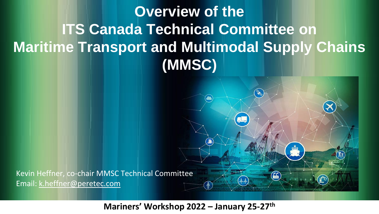# **Overview of the ITS Canada Technical Committee on Maritime Transport and Multimodal Supply Chains (MMSC)**

Kevin Heffner, co-chair MMSC Technical Committee Email: k.heffner@peretec.com

#### **Mariners' Workshop 2022 – January 25-27th**

Г.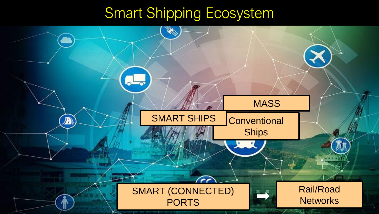# Smart Shipping Ecosystem

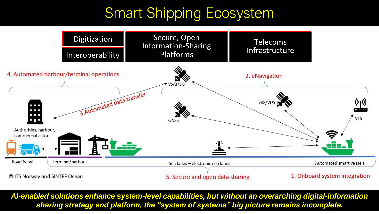# Smart Shipping Ecosystem



*AI-enabled solutions enhance system-level capabilities, but without an overarching digital-information sharing strategy and platform, the "system of systems" big picture remains incomplete.*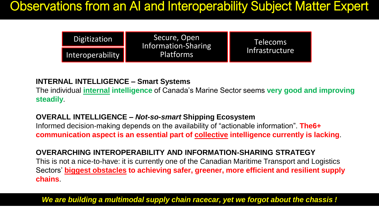#### Observations from an AI and Interoperability Subject Matter Expert

| Digitization     | Secure, Open<br>Information-Sharing<br><b>Platforms</b> | <b>Telecoms</b> |
|------------------|---------------------------------------------------------|-----------------|
| Interoperability |                                                         | Infrastructure  |

#### **INTERNAL INTELLIGENCE – Smart Systems**

The individual **internal intelligence** of Canada's Marine Sector seems **very good and improving steadily**.

#### **OVERALL INTELLIGENCE –** *Not-so-smart* **Shipping Ecosystem**

Informed decision-making depends on the availability of "actionable information". **The6+ communication aspect is an essential part of collective intelligence currently is lacking**.

#### **OVERARCHING INTEROPERABILITY AND INFORMATION-SHARING STRATEGY**

This is not a nice-to-have: it is currently one of the Canadian Maritime Transport and Logistics Sectors' **biggest obstacles to achieving safer, greener, more efficient and resilient supply chains**.

*We are building a multimodal supply chain racecar, yet we forgot about the chassis !*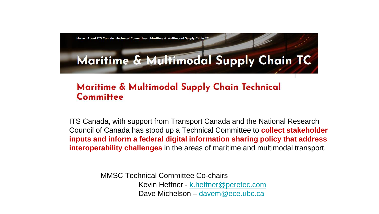

#### Maritime & Multimodal Supply Chain Technical Committee

ITS Canada, with support from Transport Canada and the National Research Council of Canada has stood up a Technical Committee to **collect stakeholder inputs and inform a federal digital information sharing policy that address interoperability challenges** in the areas of maritime and multimodal transport.

> MMSC Technical Committee Co-chairs Kevin Heffner - [k.heffner@peretec.com](mailto:k.heffner@peretec.com) Dave Michelson – [davem@ece.ubc.ca](mailto:davem@ece.ubc.ca)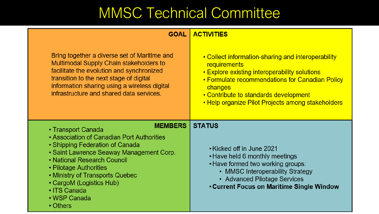# MMSC Technical Committee

#### **GOAL ACTIVITIES**

| Bring together a diverse set of Maritime and<br>Multimodal Supply Chain stakeholders to<br>facilitate the evolution and synchronized<br>transition to the next stage of digital<br>information sharing using a wireless digital<br>infrastructure and shared data services.                                                           | • Collect information-sharing and interoperability<br>requirements<br>• Explore existing interoperability solutions<br>• Formulate recommendations for Canadian Policy<br>changes<br>• Contribute to standards development<br>• Help organize Pilot Projects among stakeholders |
|---------------------------------------------------------------------------------------------------------------------------------------------------------------------------------------------------------------------------------------------------------------------------------------------------------------------------------------|---------------------------------------------------------------------------------------------------------------------------------------------------------------------------------------------------------------------------------------------------------------------------------|
| <b>MEMBERS</b><br>• Transport Canada<br>• Association of Canadian Port Authorities<br>• Shipping Federation of Canada<br>• Saint Lawrence Seaway Management Corp.<br>• National Research Council<br>• Pilotage Authorities<br>• Ministry of Transports Quebec<br>• CargoM (Logistics Hub)<br>• ITS Canada<br>• WSP Canada<br>• Others | <b>STATUS</b><br>• Kicked off in June 2021<br>• Have held 6 monthly meetings<br>• Have formed two working groups:<br>• MMSC Interoperability Strategy<br>• Advanced Pilotage Services<br><b>. Current Focus on Maritime Single Window</b>                                       |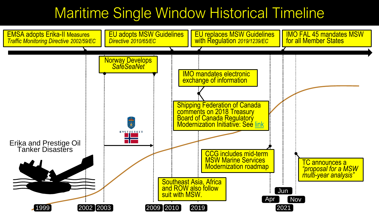### Maritime Single Window Historical Timeline

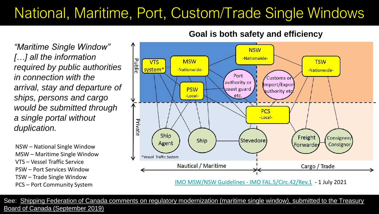## National, Maritime, Port, Custom/Trade Single Windows

*"Maritime Single Window" […] all the information required by public authorities in connection with the arrival, stay and departure of ships, persons and cargo would be submitted through a single portal without duplication.* 

NSW – National Single Window MSW – Maritime Single Window VTS – Vessel Traffic Service PSW – Port Services Window TSW – Trade Single Window PCS – Port Community System





[IMO MSW/NSW Guidelines -](https://wwwcdn.imo.org/localresources/en/OurWork/Facilitation/Facilitation/FAL.5-CIRC.42-REV.1.pdf) IMO FAL.5/Circ.42/Rev.1 - 1 July 2021

[See: Shipping Federation of Canada comments on regulatory modernization \(maritime single window\), submitted to the Treasury](http://www.shipfed.ca/data/2019-09-05-SFC-Comments_1.pdf)  Board of Canada (September 2019)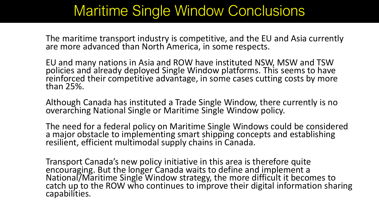#### Maritime Single Window Conclusions

The maritime transport industry is competitive, and the EU and Asia currently are more advanced than North America, in some respects.

EU and many nations in Asia and ROW have instituted NSW, MSW and TSW policies and already deployed Single Window platforms. This seems to have reinforced their competitive advantage, in some cases cutting costs by more than 25%.

Although Canada has instituted a Trade Single Window, there currently is no overarching National Single or Maritime Single Window policy.

The need for a federal policy on Maritime Single Windows could be considered a major obstacle to implementing smart shipping concepts and establishing resilient, efficient multimodal supply chains in Canada.

Transport Canada's new policy initiative in this area is therefore quite encouraging. But the longer Canada waits to define and implement a National/Maritime Single Window strategy, the more difficult it becomes to catch up to the ROW who continues to improve their digital information sharing capabilities.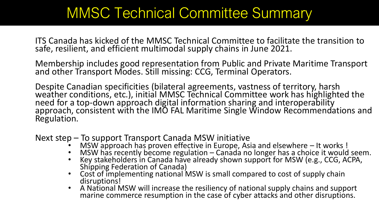### MMSC Technical Committee Summary

ITS Canada has kicked of the MMSC Technical Committee to facilitate the transition to safe, resilient, and efficient multimodal supply chains in June 2021.

Membership includes good representation from Public and Private Maritime Transport and other Transport Modes. Still missing: CCG, Terminal Operators.

Despite Canadian specificities (bilateral agreements, vastness of territory, harsh weather conditions, etc.), initial MMSC Technical Committee work has highlighted the need for a top-down approach digital information sharing and interoperability approach, consistent with the IMO FAL Maritime Single Window Recommendations and Regulation.

Next step – To support Transport Canada MSW initiative

- MSW approach has proven effective in Europe, Asia and elsewhere It works !
- MSW has recently become regulation Canada no longer has a choice it would seem.
- Key stakeholders in Canada have already shown support for MSW (e.g., CCG, ACPA, Shipping Federation of Canada)
- Cost of implementing national MSW is small compared to cost of supply chain disruptions!
- A National MSW will increase the resiliency of national supply chains and support marine commerce resumption in the case of cyber attacks and other disruptions.